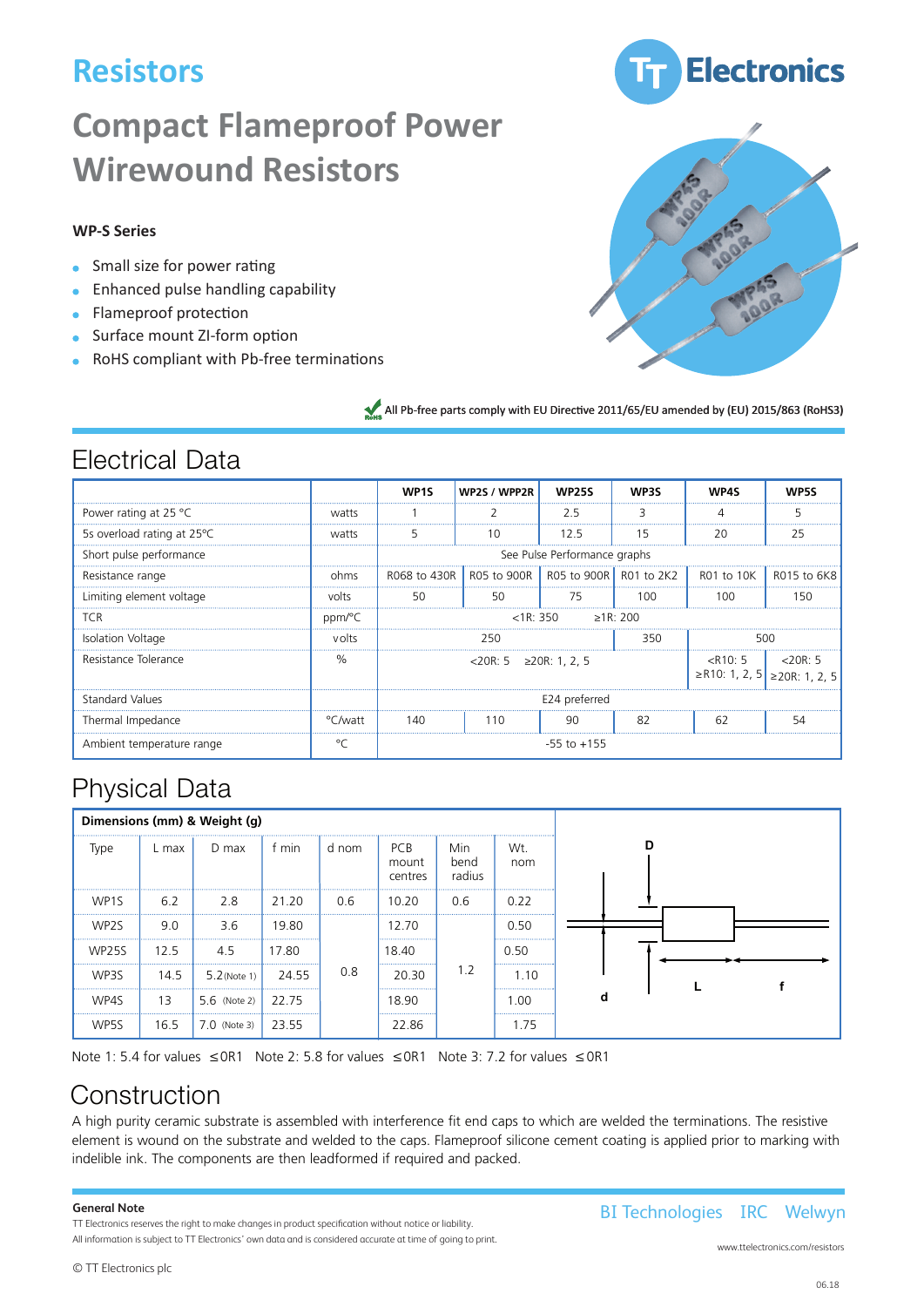# **Resistors**

# **Compact Flameproof Power Wirewound Resistors**

## **WP-S Series**

- **Small size for power rating**
- **Enhanced pulse handling capability**
- **Flameproof protection**
- **Surface mount ZI-form option**
- RoHS compliant with Pb-free terminations





All Pb-free parts comply with EU Directive 2011/65/EU amended by (EU) 2015/863 (RoHS3)

## Electrical Data

|                                 |         | WP <sub>1</sub> S                                                                            | WP2S / WPP2R                                                       | <b>WP25S</b>                 | <b>WP3S</b> | wp4< | <b>WD5S</b> |
|---------------------------------|---------|----------------------------------------------------------------------------------------------|--------------------------------------------------------------------|------------------------------|-------------|------|-------------|
| Power rating at 25 $^{\circ}$ C | watts   |                                                                                              |                                                                    | 2.5                          | З           | Δ    | 5           |
| 5s overload rating at 25 °C     | watts   | 5                                                                                            | 10                                                                 | 12.5                         | 15          | 20   | 25          |
| Short pulse performance         |         |                                                                                              |                                                                    | See Pulse Performance graphs |             |      |             |
| Resistance range                | ohms    |                                                                                              | R068 to 430R   R05 to 900R   R05 to 900R   R01 to 2K2   R01 to 10K |                              |             |      | R015 to 6K8 |
| Limiting element voltage        | volts   | 50                                                                                           | 50                                                                 | 75                           | 100         | 100  | 150         |
| <b>TCR</b>                      | ppm/°C  | >1R:200<br>$<$ 1R: 350                                                                       |                                                                    |                              |             |      |             |
| Isolation Voltage               | volts   | 250<br>350<br>500                                                                            |                                                                    |                              |             |      |             |
| Resistance Tolerance            | %       | $\langle R10:5$   $\langle 20R:5$<br>$<$ 20R: 5 ≥20R: 1, 2, 5<br>≥R10: 1, 2, 5 ≥20R: 1, 2, 5 |                                                                    |                              |             |      |             |
| Standard Values                 |         | E24 preferred                                                                                |                                                                    |                              |             |      |             |
| Thermal Impedance               | °C/watt | 140                                                                                          | 110                                                                | 90                           | 82          | -62  | 54          |
| Ambient temperature range       | $\circ$ | $-55$ to $+155$                                                                              |                                                                    |                              |             |      |             |

## Physical Data

| Dimensions (mm) & Weight (g) |        |                        |           |       |                                |                       |            |  |
|------------------------------|--------|------------------------|-----------|-------|--------------------------------|-----------------------|------------|--|
| Type                         | L max  | D max                  | f min     | d nom | <b>PCB</b><br>mount<br>centres | Min<br>bend<br>radius | Wt.<br>nom |  |
| WP <sub>1</sub> S            | 6.2    | 2.8<br>.               | 21.20     | 0.6   | 10.20                          | 0.6                   | <br>0.22   |  |
| WP2S                         | 9.0    | 3.6                    | <br>19.80 |       | 12.70<br>                      |                       | 0.50<br>   |  |
| <b>WP25S</b>                 | 12.5   | 4.5                    | 17.80     |       | 18.40                          |                       | 0.50       |  |
| WP3S                         | 14.5   | $5.2$ (Note 1)         | 24.55     | 0.8   | <br>20.30                      | 1.2                   | <br>1.10   |  |
| <br>WP4S                     | <br>13 | 5.6 (Note 2) 22.75<br> |           |       | 18.90                          |                       | 1.00<br>   |  |
| WP5S                         | 16.5   | $7.0$ (Note 3)         | <br>23.55 |       | <br>22.86                      |                       | 1.75       |  |

Note 1: 5.4 for values  $\leq$  OR1 Note 2: 5.8 for values  $\leq$  OR1 Note 3: 7.2 for values  $\leq$  OR1

## Construction

A high purity ceramic substrate is assembled with interference fit end caps to which are welded the terminations. The resistive element is wound on the substrate and welded to the caps. Flameproof silicone cement coating is applied prior to marking with indelible ink. The components are then leadformed if required and packed.

### **General Note General Note**

TT Electronics reserves the right to make changes in product specification without notice or liability. All information is subject to Welwyn's own data and is considered accurate at time of going to print. All information is subject to TT Electronics' own data and is considered accurate at time of going to print.

www.ttelectronics.com/resistors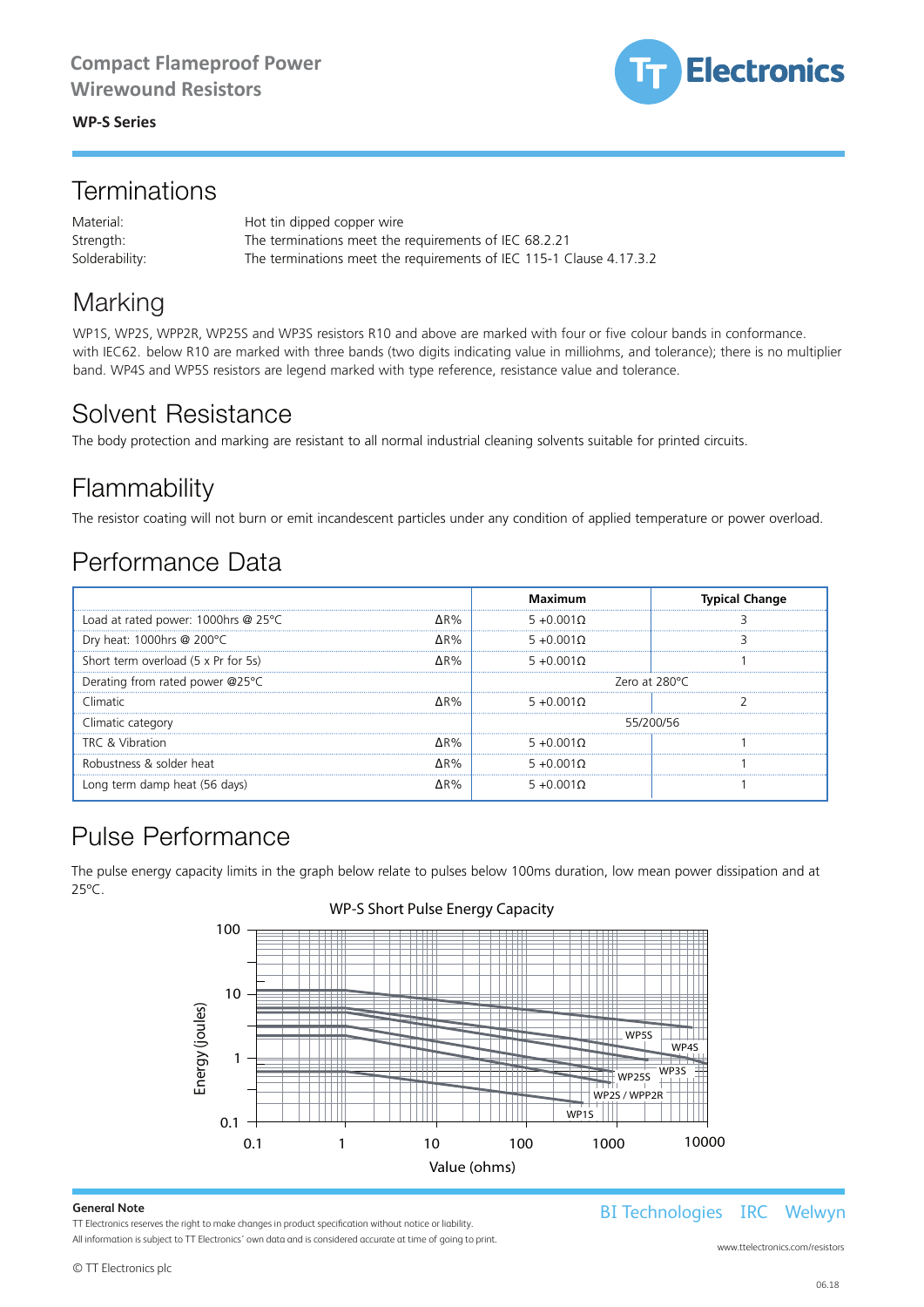**WP-S Series** WP-S Series *Welwyn Components* WP-S Series *Welwyn Components* When Series and Resistors and Resistors and Resistors and Resistors and Resistors and Resistors and Resistors  $\mathcal{L}$ 



## Terminations Terminations

Material: Material: Hot tin dipped copper wire Strength: The terminations meet the requirements of IEC 68.2.21 **Terminations**<br>
Material:<br>
Material:<br>
Solderability:<br>
The terminations meet the requirements of IEC 68.2.21<br>
Solderability:<br>
The terminations meet the requirements of IEC 115-1 Clause 4.17.3.2 Strength: The terminations meet the requirements of IEC 68.2.1.2012 Material:<br>Strength:

## Marking Marking Marking

WP1S, WP2S, WPP2R, WP25S and WP3S resistors R10 and above are marked with four or five colour bands in conformance. with IEC62. below R10 are marked with three bands (two digits indicating value in milliohms, and tolerance); there is no multiplier band. WP4S and WP5S resistors are legend marked with type reference, resistance value and tolerance.

WP-S Series *Welwyn Components*

## Solvent Resistance Solvent Resistance

## Flammability rammability

# Performance Data Performance Data Performance Data Performance Data

| with IEC62. below R10 are marked with three bands (two digits indicating value in milliohms, and tolerance); there is no multiplier<br>band. WP4S and WP5S resistors are legend marked with type reference, resistance value and tolerance. |     |                                  |             |                        |               |                       |  |  |
|---------------------------------------------------------------------------------------------------------------------------------------------------------------------------------------------------------------------------------------------|-----|----------------------------------|-------------|------------------------|---------------|-----------------------|--|--|
| Solvent Resistance<br>The body protection and marking are resistant to all normal industrial cleaning solvents suitable for printed circuits.                                                                                               |     |                                  |             |                        |               |                       |  |  |
|                                                                                                                                                                                                                                             |     |                                  |             |                        |               |                       |  |  |
| Flammability                                                                                                                                                                                                                                |     |                                  |             |                        |               |                       |  |  |
| The resistor coating will not burn or emit incandescent particles under any condition of applied temperature or power overload.                                                                                                             |     |                                  |             |                        |               |                       |  |  |
|                                                                                                                                                                                                                                             |     |                                  |             |                        |               |                       |  |  |
| Performance Data                                                                                                                                                                                                                            |     |                                  |             |                        |               |                       |  |  |
|                                                                                                                                                                                                                                             |     |                                  |             | <b>Maximum</b>         |               | <b>Typical Change</b> |  |  |
| Load at rated power: 1000hrs @ 25°C                                                                                                                                                                                                         |     |                                  | ΔR%         | $5 + 0.001\Omega$      |               | 3                     |  |  |
| Dry heat: 1000hrs @ 200°C                                                                                                                                                                                                                   |     |                                  | $\Delta$ R% | $5 + 0.001\Omega$      |               | 3                     |  |  |
| Short term overload (5 x Pr for 5s)                                                                                                                                                                                                         |     |                                  | $\Delta$ R% | $5 + 0.001\Omega$      |               | 1                     |  |  |
| Derating from rated power @25°C                                                                                                                                                                                                             |     |                                  |             |                        | Zero at 280°C |                       |  |  |
| Climatic                                                                                                                                                                                                                                    |     |                                  | ΔR%         | $5 + 0.001\Omega$<br>2 |               |                       |  |  |
| Climatic category                                                                                                                                                                                                                           |     |                                  |             |                        | 55/200/56     |                       |  |  |
| TRC & Vibration                                                                                                                                                                                                                             |     |                                  | ΔR%         | $5 + 0.001\Omega$      |               | 1                     |  |  |
| Robustness & solder heat                                                                                                                                                                                                                    |     |                                  | ΔR%         | $5 + 0.001\Omega$      |               | 1                     |  |  |
| Long term damp heat (56 days)                                                                                                                                                                                                               |     |                                  | ΔR%         | $5 + 0.001\Omega$      |               | 1                     |  |  |
| <b>Pulse Performance</b><br>The pulse energy capacity limits in the graph below relate to pulses below 100ms duration, low mean power dissipation and at<br>25°C.<br>100                                                                    |     | WP-S Short Pulse Energy Capacity |             |                        |               |                       |  |  |
|                                                                                                                                                                                                                                             |     |                                  |             |                        |               |                       |  |  |
|                                                                                                                                                                                                                                             |     |                                  |             |                        |               |                       |  |  |
| 10                                                                                                                                                                                                                                          |     |                                  |             |                        |               |                       |  |  |
|                                                                                                                                                                                                                                             |     |                                  |             |                        |               |                       |  |  |
|                                                                                                                                                                                                                                             |     |                                  |             |                        | WP5S          | WP4S                  |  |  |
| 1                                                                                                                                                                                                                                           |     |                                  |             |                        |               |                       |  |  |
| Energy (joules)                                                                                                                                                                                                                             |     |                                  |             |                        | $\Box$ WP25S  | WP3S                  |  |  |
|                                                                                                                                                                                                                                             |     |                                  |             |                        | WP2S / WPP2R  |                       |  |  |
| 0.1                                                                                                                                                                                                                                         |     |                                  |             |                        | WP1S          |                       |  |  |
|                                                                                                                                                                                                                                             | ∩ 1 | 1 <sub>0</sub><br>1              |             | 100                    | 1000          | 10000                 |  |  |



Value (ohms)

Value (ohms)

## WP-S Short Pulse Energy Capacity WP-S Short Pulse Energy Capacity WP-S Short Pulse Energy Capacity

### **© Welwyn Components Limited** Bedlington, Northumberland NE22 7AA, UK **General Note**

All information is subject to TT Electronics' own data and is considered accurate at time of going to print. **TT Electronics reserves the right to make changes in product specification without notice or liability.** 

eneral Note **Australian State: Australian State: 1670 · Website: www.welwyn-tt.com of the Com of the Com of the Com of the Com of the Com of the Com of the Com of the Com of the Com of the Com of the Com of the Com of the** 

www.ttelectronics.com/resistors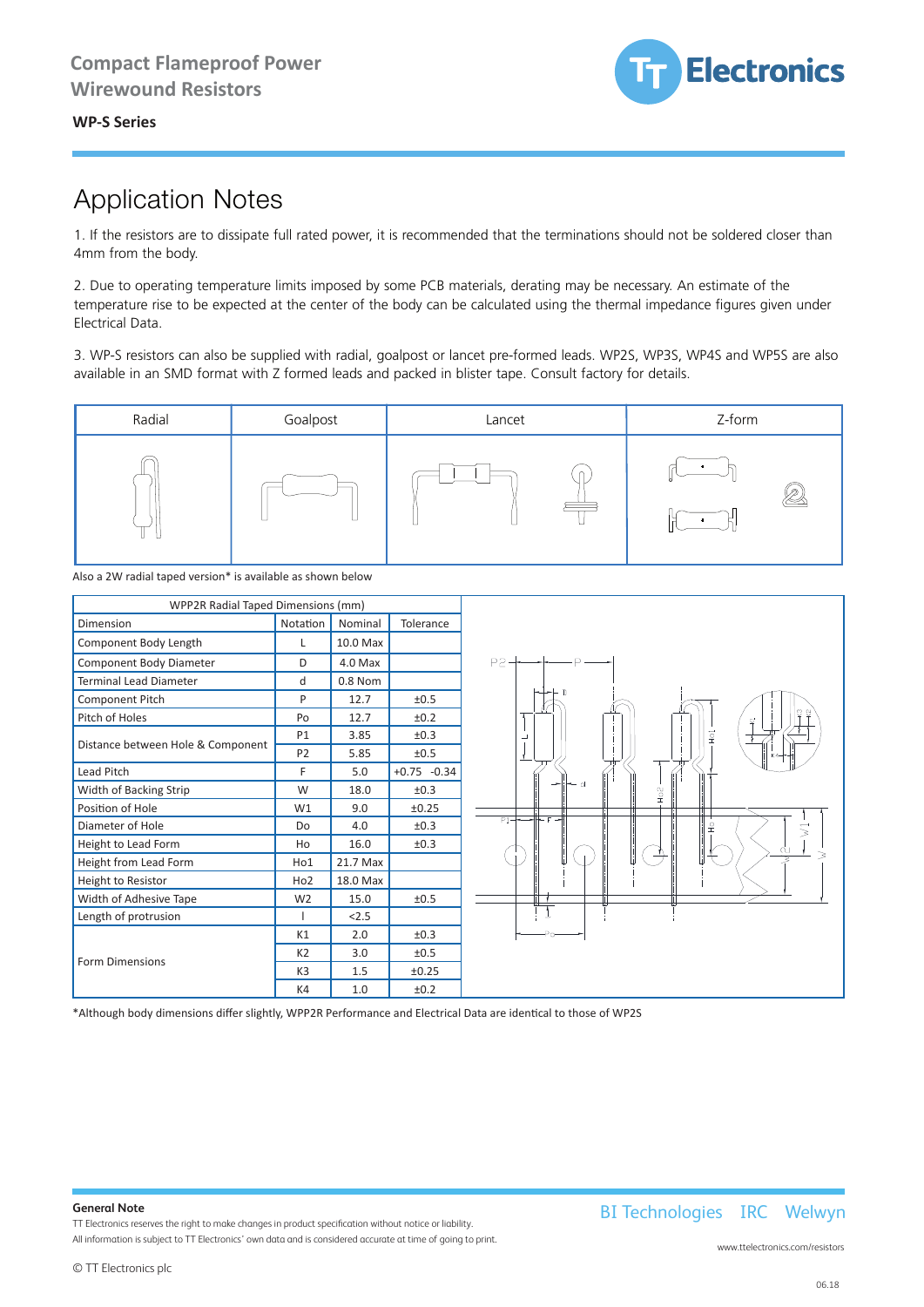**Electronics** 

### WP-S Series *Welwyn Components* **WP-S Series**

### **Application Notes** are to dissipate full rated power, it is recommended that the terminations should not be soldered control of the terminations should not be soldered control of the terminations should not be soldered cl uon inote.

1. If the resistors are to dissipate full rated power, it is recommended that the terminations should not be soldered closer than 4mm from the body.  $\theta$  to be expected at the center of the body can be calculated using the the theorem impedance figures given under  $\theta$  $\sum_{i=1}^n$ 

2. Due to operating temperature limits imposed by some PCB materials, derating may be necessary. An estimate of the temperature rise to be expected at the center of the body can be calculated using the thermal impedance figures given under Electrical Data.

3. WP-S resistors can also be supplied with radial, goalpost or lancet pre-formed leads. WP2S, WP3S, WP4S and WP5S are also available in an SMD format with Z formed leads and packed in blister tape. Consult factory for details.



Also a 2W radial taped version\* is available as shown below



\*Although body dimensions differ slightly, WPP2R Performance and Electrical Data are identical to those of WP2S

### **General Note**

TT Electronics reserves the right to make changes in product specification without notice or liability. All information is subject to TT Electronics' own data and is considered accurate at time of going to print. BI Technologies IRC Welwyn